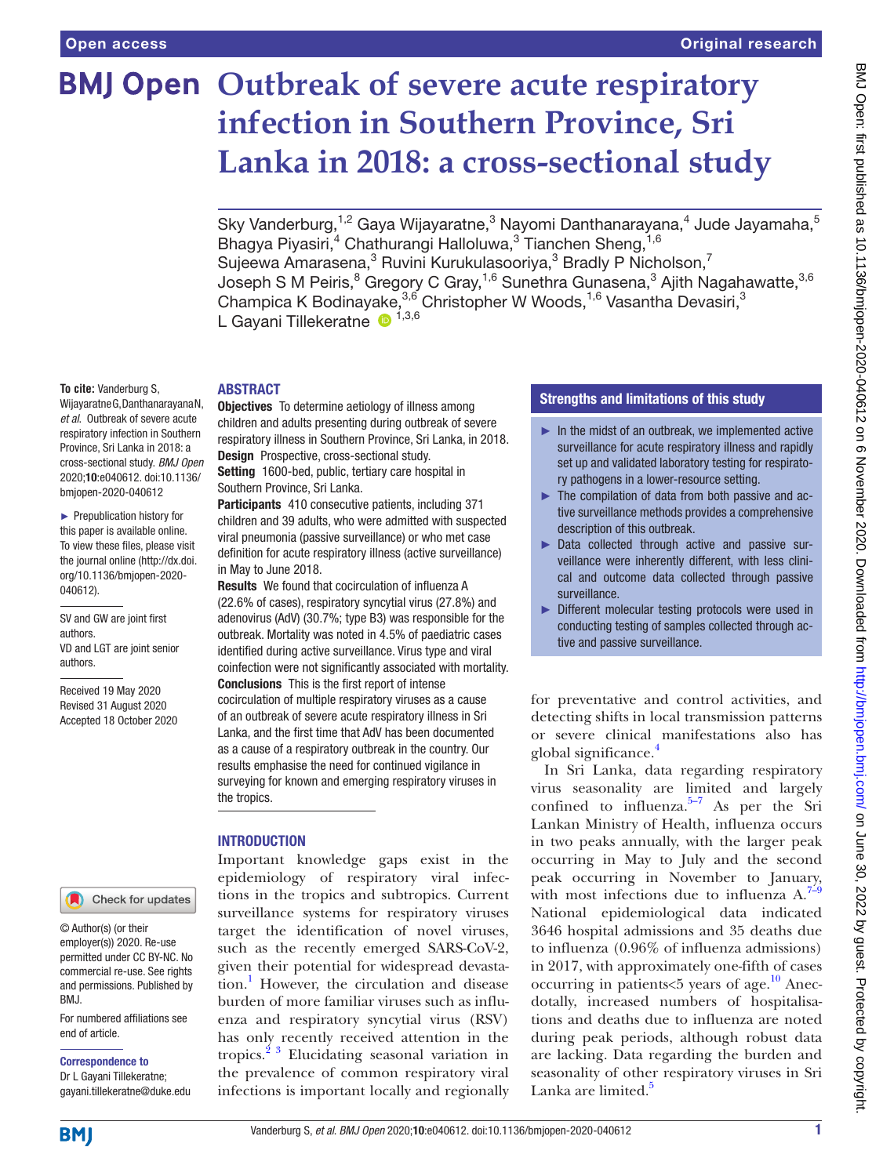# **BMJ Open Outbreak of severe acute respiratory infection in Southern Province, Sri Lanka in 2018: a cross-sectional study**

Sky Vanderburg,<sup>1,2</sup> Gaya Wijayaratne,<sup>3</sup> Nayomi Danthanarayana,<sup>4</sup> Jude Jayamaha,<sup>5</sup> Bhagya Piyasiri,<sup>4</sup> Chathurangi Halloluwa,<sup>3</sup> Tianchen Sheng, 1,6 Sujeewa Amarasena, $^3$  Ruvini Kurukulasooriya, $^3$  Bradly P Nicholson, $^7$ Joseph S M Peiris, $^8$  Gregory C Gray, $^{1,6}$  Sunethra Gunasena, $^3$  Ajith Nagahawatte, $^{3,6}$ Champica K Bodinayake,<sup>3,6</sup> Christopher W Woods,<sup>1,6</sup> Vasantha Devasiri,<sup>3</sup> L Gayani Tillekeratne  $\bullet$ <sup>1,3,6</sup>

#### **To cite:** Vanderburg S,

Wijayaratne G, Danthanarayana N, *et al*. Outbreak of severe acute respiratory infection in Southern Province, Sri Lanka in 2018: a cross-sectional study. *BMJ Open* 2020;10:e040612. doi:10.1136/ bmjopen-2020-040612

► Prepublication history for this paper is available online. To view these files, please visit the journal online (http://dx.doi. org/10.1136/bmjopen-2020- 040612).

SV and GW are joint first authors. VD and LGT are joint senior authors.

Received 19 May 2020 Revised 31 August 2020 Accepted 18 October 2020

# ABSTRACT

**Objectives** To determine aetiology of illness among children and adults presenting during outbreak of severe respiratory illness in Southern Province, Sri Lanka, in 2018. Design Prospective, cross-sectional study.

Setting 1600-bed, public, tertiary care hospital in Southern Province, Sri Lanka.

Participants 410 consecutive patients, including 371 children and 39 adults, who were admitted with suspected viral pneumonia (passive surveillance) or who met case definition for acute respiratory illness (active surveillance) in May to June 2018.

Results We found that cocirculation of influenza A (22.6% of cases), respiratory syncytial virus (27.8%) and adenovirus (AdV) (30.7%; type B3) was responsible for the outbreak. Mortality was noted in 4.5% of paediatric cases identified during active surveillance. Virus type and viral coinfection were not significantly associated with mortality. Conclusions This is the first report of intense cocirculation of multiple respiratory viruses as a cause of an outbreak of severe acute respiratory illness in Sri Lanka, and the first time that AdV has been documented as a cause of a respiratory outbreak in the country. Our results emphasise the need for continued vigilance in surveying for known and emerging respiratory viruses in the tropics.

#### INTRODUCTION

Important knowledge gaps exist in the epidemiology of respiratory viral infections in the tropics and subtropics. Current surveillance systems for respiratory viruses target the identification of novel viruses, such as the recently emerged SARS-CoV-2, given their potential for widespread devastation[.1](#page-6-0) However, the circulation and disease burden of more familiar viruses such as influenza and respiratory syncytial virus (RSV) has only recently received attention in the tropics. $2^3$  Elucidating seasonal variation in the prevalence of common respiratory viral infections is important locally and regionally

## Strengths and limitations of this study

- $\blacktriangleright$  In the midst of an outbreak, we implemented active surveillance for acute respiratory illness and rapidly set up and validated laboratory testing for respiratory pathogens in a lower-resource setting.
- ► The compilation of data from both passive and active surveillance methods provides a comprehensive description of this outbreak.
- ► Data collected through active and passive surveillance were inherently different, with less clinical and outcome data collected through passive surveillance.
- ► Different molecular testing protocols were used in conducting testing of samples collected through active and passive surveillance.

for preventative and control activities, and detecting shifts in local transmission patterns or severe clinical manifestations also has global significance.[4](#page-6-2)

In Sri Lanka, data regarding respiratory virus seasonality are limited and largely confined to influenza. $5-7$  As per the Sri Lankan Ministry of Health, influenza occurs in two peaks annually, with the larger peak occurring in May to July and the second peak occurring in November to January, with most infections due to influenza  $A^{7-9}$ National epidemiological data indicated 3646 hospital admissions and 35 deaths due to influenza (0.96% of influenza admissions) in 2017, with approximately one-fifth of cases occurring in patients $< 5$  years of age.<sup>10</sup> Anecdotally, increased numbers of hospitalisations and deaths due to influenza are noted during peak periods, although robust data are lacking. Data regarding the burden and seasonality of other respiratory viruses in Sri Lanka are limited. $5$ 

Correspondence to

BMJ.

end of article.

© Author(s) (or their employer(s)) 2020. Re-use permitted under CC BY-NC. No commercial re-use. See rights and permissions. Published by

Dr L Gayani Tillekeratne; gayani.tillekeratne@duke.edu

For numbered affiliations see

Check for updates

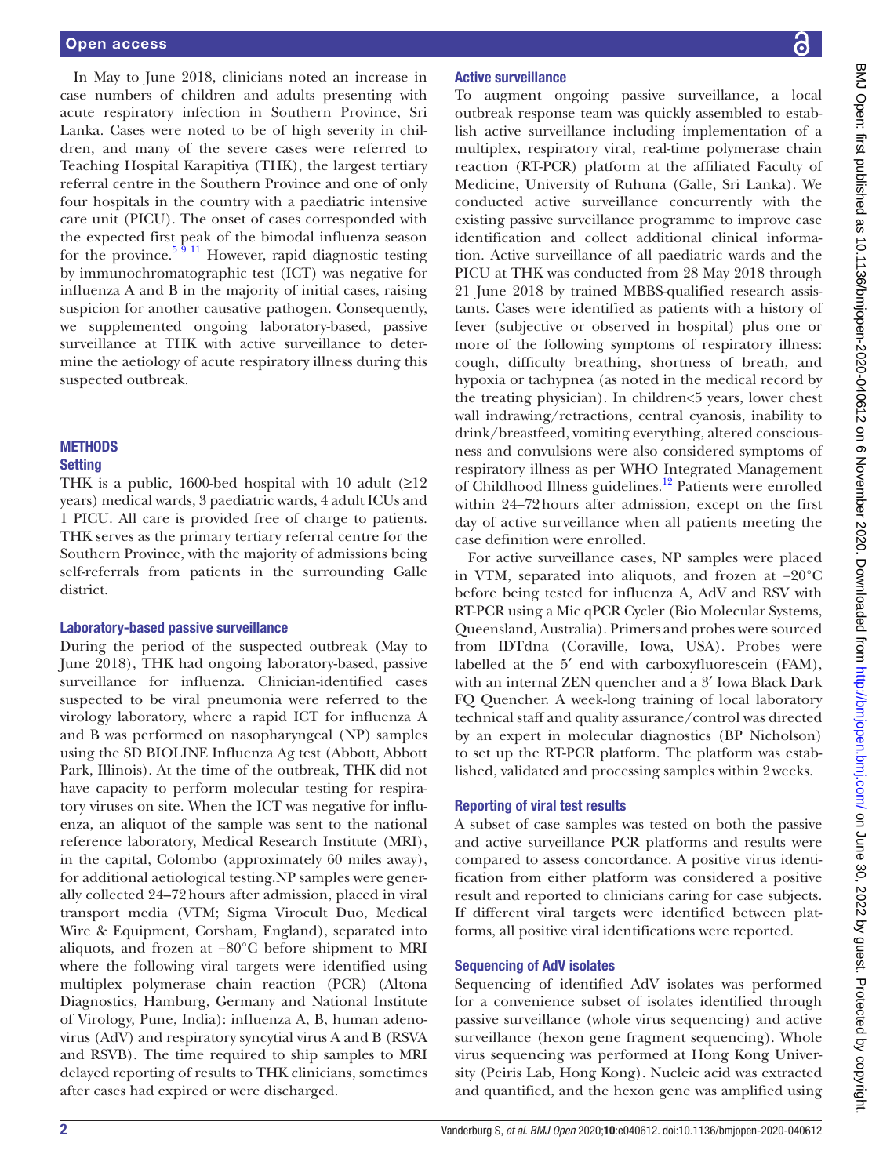In May to June 2018, clinicians noted an increase in case numbers of children and adults presenting with acute respiratory infection in Southern Province, Sri Lanka. Cases were noted to be of high severity in children, and many of the severe cases were referred to Teaching Hospital Karapitiya (THK), the largest tertiary referral centre in the Southern Province and one of only four hospitals in the country with a paediatric intensive care unit (PICU). The onset of cases corresponded with the expected first peak of the bimodal influenza season for the province.<sup>5 9 11</sup> However, rapid diagnostic testing by immunochromatographic test (ICT) was negative for influenza A and B in the majority of initial cases, raising suspicion for another causative pathogen. Consequently, we supplemented ongoing laboratory-based, passive surveillance at THK with active surveillance to determine the aetiology of acute respiratory illness during this suspected outbreak.

# **METHODS**

#### **Setting**

THK is a public, 1600-bed hospital with 10 adult  $(212)$ years) medical wards, 3 paediatric wards, 4 adult ICUs and 1 PICU. All care is provided free of charge to patients. THK serves as the primary tertiary referral centre for the Southern Province, with the majority of admissions being self-referrals from patients in the surrounding Galle district.

#### Laboratory-based passive surveillance

During the period of the suspected outbreak (May to June 2018), THK had ongoing laboratory-based, passive surveillance for influenza. Clinician-identified cases suspected to be viral pneumonia were referred to the virology laboratory, where a rapid ICT for influenza A and B was performed on nasopharyngeal (NP) samples using the SD BIOLINE Influenza Ag test (Abbott, Abbott Park, Illinois). At the time of the outbreak, THK did not have capacity to perform molecular testing for respiratory viruses on site. When the ICT was negative for influenza, an aliquot of the sample was sent to the national reference laboratory, Medical Research Institute (MRI), in the capital, Colombo (approximately 60 miles away), for additional aetiological testing.NP samples were generally collected 24–72hours after admission, placed in viral transport media (VTM; Sigma Virocult Duo, Medical Wire & Equipment, Corsham, England), separated into aliquots, and frozen at −80°C before shipment to MRI where the following viral targets were identified using multiplex polymerase chain reaction (PCR) (Altona Diagnostics, Hamburg, Germany and National Institute of Virology, Pune, India): influenza A, B, human adenovirus (AdV) and respiratory syncytial virus A and B (RSVA and RSVB). The time required to ship samples to MRI delayed reporting of results to THK clinicians, sometimes after cases had expired or were discharged.

#### Active surveillance

To augment ongoing passive surveillance, a local outbreak response team was quickly assembled to establish active surveillance including implementation of a multiplex, respiratory viral, real-time polymerase chain reaction (RT-PCR) platform at the affiliated Faculty of Medicine, University of Ruhuna (Galle, Sri Lanka). We conducted active surveillance concurrently with the existing passive surveillance programme to improve case identification and collect additional clinical information. Active surveillance of all paediatric wards and the PICU at THK was conducted from 28 May 2018 through 21 June 2018 by trained MBBS-qualified research assistants. Cases were identified as patients with a history of fever (subjective or observed in hospital) plus one or more of the following symptoms of respiratory illness: cough, difficulty breathing, shortness of breath, and hypoxia or tachypnea (as noted in the medical record by the treating physician). In children<5 years, lower chest wall indrawing/retractions, central cyanosis, inability to drink/breastfeed, vomiting everything, altered consciousness and convulsions were also considered symptoms of respiratory illness as per WHO Integrated Management of Childhood Illness guidelines.[12](#page-6-6) Patients were enrolled within 24–72hours after admission, except on the first day of active surveillance when all patients meeting the case definition were enrolled.

For active surveillance cases, NP samples were placed in VTM, separated into aliquots, and frozen at −20°C before being tested for influenza A, AdV and RSV with RT-PCR using a Mic qPCR Cycler (Bio Molecular Systems, Queensland, Australia). Primers and probes were sourced from IDTdna (Coraville, Iowa, USA). Probes were labelled at the 5′ end with carboxyfluorescein (FAM), with an internal ZEN quencher and a 3′ Iowa Black Dark FQ Quencher. A week-long training of local laboratory technical staff and quality assurance/control was directed by an expert in molecular diagnostics (BP Nicholson) to set up the RT-PCR platform. The platform was established, validated and processing samples within 2weeks.

### Reporting of viral test results

A subset of case samples was tested on both the passive and active surveillance PCR platforms and results were compared to assess concordance. A positive virus identification from either platform was considered a positive result and reported to clinicians caring for case subjects. If different viral targets were identified between platforms, all positive viral identifications were reported.

### Sequencing of AdV isolates

Sequencing of identified AdV isolates was performed for a convenience subset of isolates identified through passive surveillance (whole virus sequencing) and active surveillance (hexon gene fragment sequencing). Whole virus sequencing was performed at Hong Kong University (Peiris Lab, Hong Kong). Nucleic acid was extracted and quantified, and the hexon gene was amplified using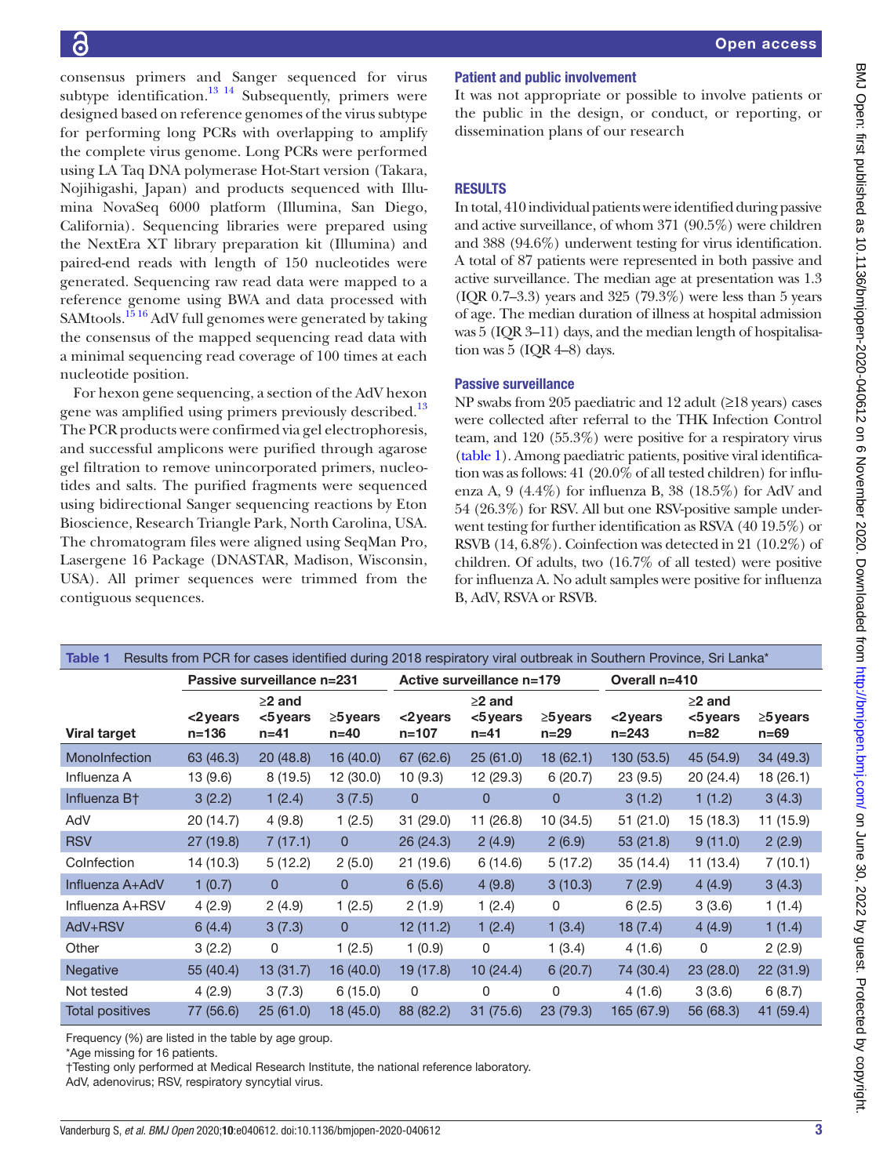consensus primers and Sanger sequenced for virus subtype identification. $^{13}$  <sup>14</sup> Subsequently, primers were designed based on reference genomes of the virus subtype for performing long PCRs with overlapping to amplify the complete virus genome. Long PCRs were performed using LA Taq DNA polymerase Hot-Start version (Takara, Nojihigashi, Japan) and products sequenced with Illumina NovaSeq 6000 platform (Illumina, San Diego, California). Sequencing libraries were prepared using the NextEra XT library preparation kit (Illumina) and paired-end reads with length of 150 nucleotides were generated. Sequencing raw read data were mapped to a reference genome using BWA and data processed with SAMtools.<sup>1516</sup> AdV full genomes were generated by taking the consensus of the mapped sequencing read data with a minimal sequencing read coverage of 100 times at each nucleotide position.

For hexon gene sequencing, a section of the AdV hexon gene was amplified using primers previously described.<sup>[13](#page-6-7)</sup> The PCR products were confirmed via gel electrophoresis, and successful amplicons were purified through agarose gel filtration to remove unincorporated primers, nucleotides and salts. The purified fragments were sequenced using bidirectional Sanger sequencing reactions by Eton Bioscience, Research Triangle Park, North Carolina, USA. The chromatogram files were aligned using SeqMan Pro, Lasergene 16 Package (DNASTAR, Madison, Wisconsin, USA). All primer sequences were trimmed from the contiguous sequences.

#### Patient and public involvement

It was not appropriate or possible to involve patients or the public in the design, or conduct, or reporting, or dissemination plans of our research

#### RESULTS

In total, 410 individual patients were identified during passive and active surveillance, of whom 371 (90.5%) were children and 388 (94.6%) underwent testing for virus identification. A total of 87 patients were represented in both passive and active surveillance. The median age at presentation was 1.3 (IQR 0.7–3.3) years and 325 (79.3%) were less than 5 years of age. The median duration of illness at hospital admission was 5 (IQR 3–11) days, and the median length of hospitalisation was 5 (IQR 4–8) days.

#### Passive surveillance

NP swabs from 205 paediatric and 12 adult (≥18 years) cases were collected after referral to the THK Infection Control team, and 120 (55.3%) were positive for a respiratory virus [\(table](#page-2-0) 1). Among paediatric patients, positive viral identification was as follows: 41 (20.0% of all tested children) for influenza A, 9 (4.4%) for influenza B, 38 (18.5%) for AdV and 54 (26.3%) for RSV. All but one RSV-positive sample underwent testing for further identification as RSVA (40 19.5%) or RSVB (14, 6.8%). Coinfection was detected in 21 (10.2%) of children. Of adults, two (16.7% of all tested) were positive for influenza A. No adult samples were positive for influenza B, AdV, RSVA or RSVB.

<span id="page-2-0"></span>

| Results from PCR for cases identified during 2018 respiratory viral outbreak in Southern Province, Sri Lanka*<br>Table 1 |                            |                                   |                          |                           |                                         |                          |                          |                                         |                          |  |
|--------------------------------------------------------------------------------------------------------------------------|----------------------------|-----------------------------------|--------------------------|---------------------------|-----------------------------------------|--------------------------|--------------------------|-----------------------------------------|--------------------------|--|
|                                                                                                                          | Passive surveillance n=231 |                                   |                          | Active surveillance n=179 |                                         |                          | Overall n=410            |                                         |                          |  |
| <b>Viral target</b>                                                                                                      | <2 years<br>$n = 136$      | $\geq$ and<br>$<$ 5 years<br>n=41 | $\geq$ 5 years<br>$n=40$ | $<$ 2 years<br>$n = 107$  | $\geq$ 2 and<br>$<$ 5 years<br>$n = 41$ | $\geq$ 5 years<br>$n=29$ | $<$ 2 years<br>$n = 243$ | $\geq$ 2 and<br>$<$ 5 years<br>$n = 82$ | $\geq$ 5 years<br>$n=69$ |  |
| MonoInfection                                                                                                            | 63 (46.3)                  | 20 (48.8)                         | 16 (40.0)                | 67 (62.6)                 | 25(61.0)                                | 18 (62.1)                | 130(53.5)                | 45 (54.9)                               | 34 (49.3)                |  |
| Influenza A                                                                                                              | 13 (9.6)                   | 8(19.5)                           | 12 (30.0)                | 10(9.3)                   | 12 (29.3)                               | 6(20.7)                  | 23(9.5)                  | 20 (24.4)                               | 18 (26.1)                |  |
| Influenza B <sup>+</sup>                                                                                                 | 3(2.2)                     | 1(2.4)                            | 3(7.5)                   | 0                         | 0                                       | $\Omega$                 | 3(1.2)                   | 1(1.2)                                  | 3(4.3)                   |  |
| AdV                                                                                                                      | 20(14.7)                   | 4(9.8)                            | 1(2.5)                   | 31(29.0)                  | 11(26.8)                                | 10(34.5)                 | 51 (21.0)                | 15 (18.3)                               | 11 (15.9)                |  |
| <b>RSV</b>                                                                                                               | 27(19.8)                   | 7(17.1)                           | $\mathbf{0}$             | 26(24.3)                  | 2(4.9)                                  | 2(6.9)                   | 53(21.8)                 | 9(11.0)                                 | 2(2.9)                   |  |
| CoInfection                                                                                                              | 14 (10.3)                  | 5(12.2)                           | 2(5.0)                   | 21(19.6)                  | 6(14.6)                                 | 5(17.2)                  | 35 (14.4)                | 11 (13.4)                               | 7(10.1)                  |  |
| Influenza A+AdV                                                                                                          | 1(0.7)                     | $\mathbf 0$                       | $\mathbf{0}$             | 6(5.6)                    | 4(9.8)                                  | 3(10.3)                  | 7(2.9)                   | 4(4.9)                                  | 3(4.3)                   |  |
| Influenza A+RSV                                                                                                          | 4(2.9)                     | 2(4.9)                            | 1(2.5)                   | 2(1.9)                    | 1(2.4)                                  | $\mathbf{0}$             | 6(2.5)                   | 3(3.6)                                  | 1(1.4)                   |  |
| AdV+RSV                                                                                                                  | 6(4.4)                     | 3(7.3)                            | $\mathbf{0}$             | 12(11.2)                  | 1(2.4)                                  | 1(3.4)                   | 18(7.4)                  | 4(4.9)                                  | 1(1.4)                   |  |
| Other                                                                                                                    | 3(2.2)                     | 0                                 | 1(2.5)                   | 1(0.9)                    | 0                                       | 1(3.4)                   | 4(1.6)                   | 0                                       | 2(2.9)                   |  |
| <b>Negative</b>                                                                                                          | 55 (40.4)                  | 13(31.7)                          | 16 (40.0)                | 19 (17.8)                 | 10(24.4)                                | 6(20.7)                  | 74 (30.4)                | 23(28.0)                                | 22(31.9)                 |  |
| Not tested                                                                                                               | 4(2.9)                     | 3(7.3)                            | 6(15.0)                  | $\mathbf{0}$              | 0                                       | 0                        | 4(1.6)                   | 3(3.6)                                  | 6(8.7)                   |  |
| <b>Total positives</b>                                                                                                   | 77 (56.6)                  | 25(61.0)                          | 18 (45.0)                | 88 (82.2)                 | 31(75.6)                                | 23(79.3)                 | 165 (67.9)               | 56 (68.3)                               | 41 (59.4)                |  |

Frequency (%) are listed in the table by age group.

\*Age missing for 16 patients.

†Testing only performed at Medical Research Institute, the national reference laboratory.

AdV, adenovirus; RSV, respiratory syncytial virus.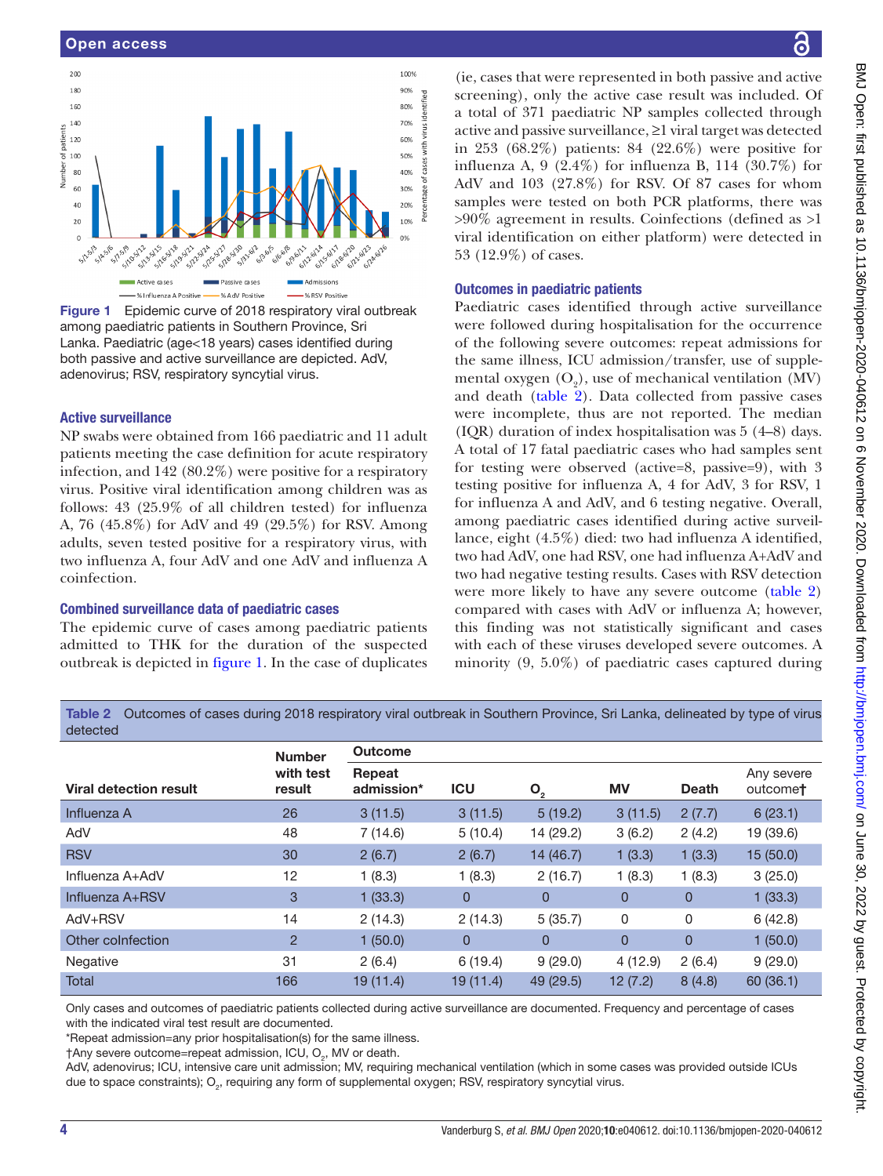

<span id="page-3-0"></span>Figure 1 Epidemic curve of 2018 respiratory viral outbreak among paediatric patients in Southern Province, Sri Lanka. Paediatric (age<18 years) cases identified during both passive and active surveillance are depicted. AdV, adenovirus; RSV, respiratory syncytial virus.

#### Active surveillance

NP swabs were obtained from 166 paediatric and 11 adult patients meeting the case definition for acute respiratory infection, and 142 (80.2%) were positive for a respiratory virus. Positive viral identification among children was as follows: 43 (25.9% of all children tested) for influenza A, 76 (45.8%) for AdV and 49 (29.5%) for RSV. Among adults, seven tested positive for a respiratory virus, with two influenza A, four AdV and one AdV and influenza A coinfection.

#### Combined surveillance data of paediatric cases

The epidemic curve of cases among paediatric patients admitted to THK for the duration of the suspected outbreak is depicted in [figure](#page-3-0) 1. In the case of duplicates

(ie, cases that were represented in both passive and active screening), only the active case result was included. Of a total of 371 paediatric NP samples collected through active and passive surveillance, ≥1 viral target was detected in 253 (68.2%) patients: 84 (22.6%) were positive for influenza A, 9 (2.4%) for influenza B, 114 (30.7%) for AdV and 103 (27.8%) for RSV. Of 87 cases for whom samples were tested on both PCR platforms, there was >90% agreement in results. Coinfections (defined as >1 viral identification on either platform) were detected in 53 (12.9%) of cases.

#### Outcomes in paediatric patients

Paediatric cases identified through active surveillance were followed during hospitalisation for the occurrence of the following severe outcomes: repeat admissions for the same illness, ICU admission/transfer, use of supplemental oxygen  $(O_2)$ , use of mechanical ventilation (MV) and death ([table](#page-3-1) 2). Data collected from passive cases were incomplete, thus are not reported. The median (IQR) duration of index hospitalisation was 5 (4–8) days. A total of 17 fatal paediatric cases who had samples sent for testing were observed (active=8, passive=9), with 3 testing positive for influenza A, 4 for AdV, 3 for RSV, 1 for influenza A and AdV, and 6 testing negative. Overall, among paediatric cases identified during active surveillance, eight (4.5%) died: two had influenza A identified, two had AdV, one had RSV, one had influenza A+AdV and two had negative testing results. Cases with RSV detection were more likely to have any severe outcome ([table](#page-3-1) 2) compared with cases with AdV or influenza A; however, this finding was not statistically significant and cases with each of these viruses developed severe outcomes. A minority (9, 5.0%) of paediatric cases captured during

<span id="page-3-1"></span>Table 2 Outcomes of cases during 2018 respiratory viral outbreak in Southern Province, Sri Lanka, delineated by type of virus detected

|                               | <b>Number</b>       | Outcome              |              |           |             |              |                                    |  |  |
|-------------------------------|---------------------|----------------------|--------------|-----------|-------------|--------------|------------------------------------|--|--|
| <b>Viral detection result</b> | with test<br>result | Repeat<br>admission* | <b>ICU</b>   | 0,        | <b>MV</b>   | <b>Death</b> | Any severe<br>outcome <sup>+</sup> |  |  |
| Influenza A                   | 26                  | 3(11.5)              | 3(11.5)      | 5(19.2)   | 3(11.5)     | 2(7.7)       | 6(23.1)                            |  |  |
| AdV                           | 48                  | 7(14.6)              | 5(10.4)      | 14 (29.2) | 3(6.2)      | 2(4.2)       | 19 (39.6)                          |  |  |
| <b>RSV</b>                    | 30                  | 2(6.7)               | 2(6.7)       | 14(46.7)  | 1(3.3)      | 1(3.3)       | 15(50.0)                           |  |  |
| Influenza A+AdV               | 12                  | 1(8.3)               | 1(8.3)       | 2(16.7)   | 1(8.3)      | 1(8.3)       | 3(25.0)                            |  |  |
| Influenza A+RSV               | 3                   | 1(33.3)              | $\mathbf{0}$ | 0         | 0           | $\mathbf{0}$ | 1(33.3)                            |  |  |
| AdV+RSV                       | 14                  | 2(14.3)              | 2(14.3)      | 5(35.7)   | 0           | 0            | 6(42.8)                            |  |  |
| Other coinfection             | 2                   | 1(50.0)              | $\Omega$     | $\Omega$  | $\mathbf 0$ | $\mathbf{0}$ | 1(50.0)                            |  |  |
| Negative                      | 31                  | 2(6.4)               | 6(19.4)      | 9(29.0)   | 4(12.9)     | 2(6.4)       | 9(29.0)                            |  |  |
| <b>Total</b>                  | 166                 | 19 (11.4)            | 19(11.4)     | 49 (29.5) | 12(7.2)     | 8(4.8)       | 60(36.1)                           |  |  |

Only cases and outcomes of paediatric patients collected during active surveillance are documented. Frequency and percentage of cases with the indicated viral test result are documented.

\*Repeat admission=any prior hospitalisation(s) for the same illness.

 $\dagger$ Any severe outcome=repeat admission, ICU,  $\textsf{O}_2^{}$ , MV or death.

AdV, adenovirus; ICU, intensive care unit admission; MV, requiring mechanical ventilation (which in some cases was provided outside ICUs due to space constraints); O<sub>2</sub>, requiring any form of supplemental oxygen; RSV, respiratory syncytial virus.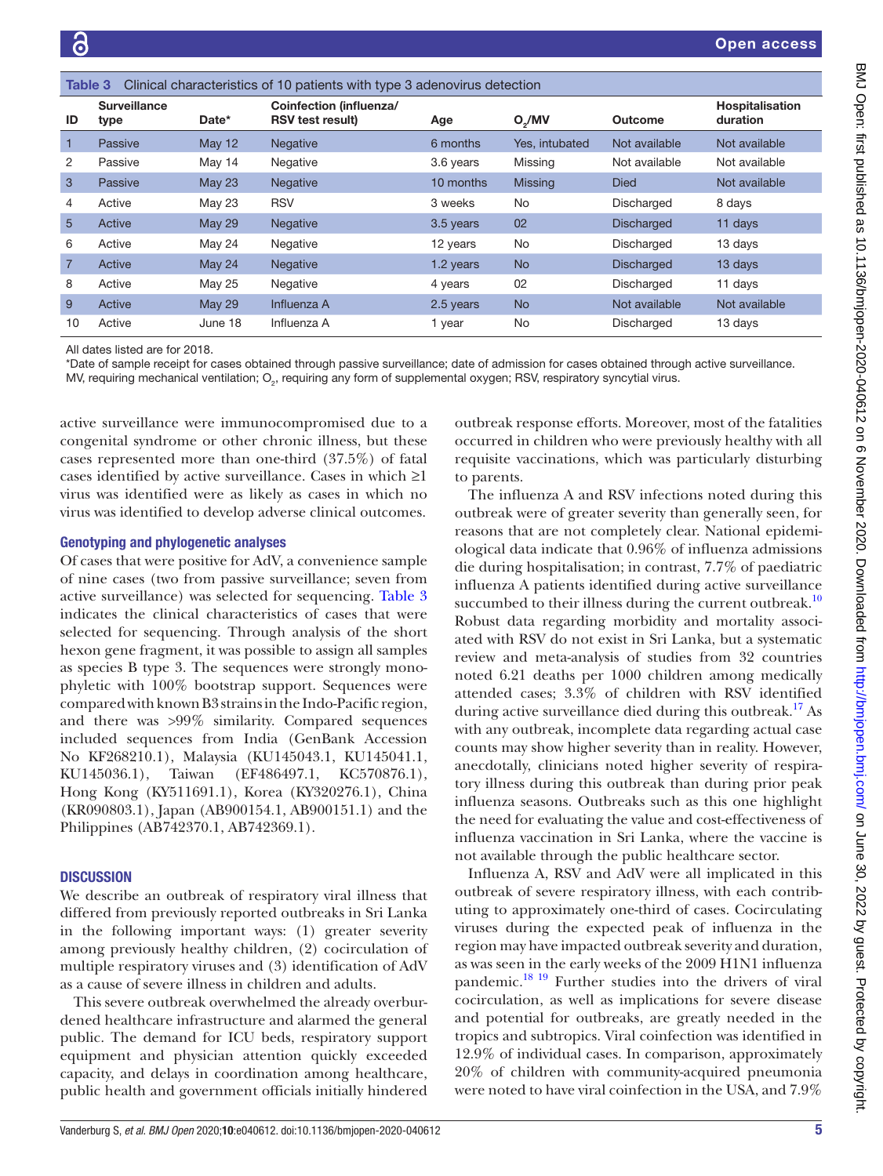<span id="page-4-0"></span>

| Clinical characteristics of 10 patients with type 3 adenovirus detection<br>Table 3 |                             |               |                                                                                    |           |                |                             |               |  |  |
|-------------------------------------------------------------------------------------|-----------------------------|---------------|------------------------------------------------------------------------------------|-----------|----------------|-----------------------------|---------------|--|--|
| ID                                                                                  | <b>Surveillance</b><br>type | Date*         | Coinfection (influenza/<br>$O_{o}/MV$<br><b>RSV</b> test result)<br>Outcome<br>Age |           |                | Hospitalisation<br>duration |               |  |  |
| $\mathbf{1}$                                                                        | Passive                     | <b>May 12</b> | <b>Negative</b>                                                                    | 6 months  | Yes. intubated | Not available               | Not available |  |  |
| 2                                                                                   | Passive                     | May 14        | Negative                                                                           | 3.6 years | Missing        | Not available               | Not available |  |  |
| $\mathbf{3}$                                                                        | Passive                     | <b>May 23</b> | <b>Negative</b>                                                                    | 10 months | <b>Missing</b> | <b>Died</b>                 | Not available |  |  |
| $\overline{4}$                                                                      | Active                      | May 23        | <b>RSV</b>                                                                         | 3 weeks   | No             | Discharged                  | 8 days        |  |  |
| 5 <sup>5</sup>                                                                      | Active                      | <b>May 29</b> | <b>Negative</b>                                                                    | 3.5 years | 02             | <b>Discharged</b>           | 11 days       |  |  |
| 6                                                                                   | Active                      | <b>May 24</b> | Negative                                                                           | 12 years  | No             | Discharged                  | 13 days       |  |  |
| $\overline{7}$                                                                      | Active                      | <b>May 24</b> | <b>Negative</b>                                                                    | 1.2 years | <b>No</b>      | <b>Discharged</b>           | 13 days       |  |  |
| 8                                                                                   | Active                      | May 25        | Negative                                                                           | 4 years   | 02             | Discharged                  | 11 days       |  |  |
| 9                                                                                   | Active                      | <b>May 29</b> | Influenza A                                                                        | 2.5 years | <b>No</b>      | Not available               | Not available |  |  |
| 10                                                                                  | Active                      | June 18       | Influenza A                                                                        | 1 year    | <b>No</b>      | Discharged                  | 13 days       |  |  |

All dates listed are for 2018.

\*Date of sample receipt for cases obtained through passive surveillance; date of admission for cases obtained through active surveillance. MV, requiring mechanical ventilation;  $\mathsf{O}_2$ , requiring any form of supplemental oxygen; RSV, respiratory syncytial virus.

active surveillance were immunocompromised due to a congenital syndrome or other chronic illness, but these cases represented more than one-third (37.5%) of fatal cases identified by active surveillance. Cases in which ≥1 virus was identified were as likely as cases in which no virus was identified to develop adverse clinical outcomes.

#### Genotyping and phylogenetic analyses

Of cases that were positive for AdV, a convenience sample of nine cases (two from passive surveillance; seven from active surveillance) was selected for sequencing. [Table](#page-4-0) 3 indicates the clinical characteristics of cases that were selected for sequencing. Through analysis of the short hexon gene fragment, it was possible to assign all samples as species B type 3. The sequences were strongly monophyletic with 100% bootstrap support. Sequences were compared with known B3 strains in the Indo-Pacific region, and there was >99% similarity. Compared sequences included sequences from India (GenBank Accession No KF268210.1), Malaysia (KU145043.1, KU145041.1, KU145036.1), Taiwan (EF486497.1, KC570876.1), Hong Kong (KY511691.1), Korea (KY320276.1), China (KR090803.1), Japan (AB900154.1, AB900151.1) and the Philippines (AB742370.1, AB742369.1).

#### **DISCUSSION**

We describe an outbreak of respiratory viral illness that differed from previously reported outbreaks in Sri Lanka in the following important ways: (1) greater severity among previously healthy children, (2) cocirculation of multiple respiratory viruses and (3) identification of AdV as a cause of severe illness in children and adults.

This severe outbreak overwhelmed the already overburdened healthcare infrastructure and alarmed the general public. The demand for ICU beds, respiratory support equipment and physician attention quickly exceeded capacity, and delays in coordination among healthcare, public health and government officials initially hindered

outbreak response efforts. Moreover, most of the fatalities occurred in children who were previously healthy with all requisite vaccinations, which was particularly disturbing to parents.

The influenza A and RSV infections noted during this outbreak were of greater severity than generally seen, for reasons that are not completely clear. National epidemiological data indicate that 0.96% of influenza admissions die during hospitalisation; in contrast, 7.7% of paediatric influenza A patients identified during active surveillance succumbed to their illness during the current outbreak.<sup>[10](#page-6-5)</sup> Robust data regarding morbidity and mortality associated with RSV do not exist in Sri Lanka, but a systematic review and meta-analysis of studies from 32 countries noted 6.21 deaths per 1000 children among medically attended cases; 3.3% of children with RSV identified during active surveillance died during this outbreak.<sup>17</sup> As with any outbreak, incomplete data regarding actual case counts may show higher severity than in reality. However, anecdotally, clinicians noted higher severity of respiratory illness during this outbreak than during prior peak influenza seasons. Outbreaks such as this one highlight the need for evaluating the value and cost-effectiveness of influenza vaccination in Sri Lanka, where the vaccine is not available through the public healthcare sector.

Influenza A, RSV and AdV were all implicated in this outbreak of severe respiratory illness, with each contributing to approximately one-third of cases. Cocirculating viruses during the expected peak of influenza in the region may have impacted outbreak severity and duration, as was seen in the early weeks of the 2009 H1N1 influenza pandemic.[18 19](#page-6-10) Further studies into the drivers of viral cocirculation, as well as implications for severe disease and potential for outbreaks, are greatly needed in the tropics and subtropics. Viral coinfection was identified in 12.9% of individual cases. In comparison, approximately 20% of children with community-acquired pneumonia were noted to have viral coinfection in the USA, and 7.9%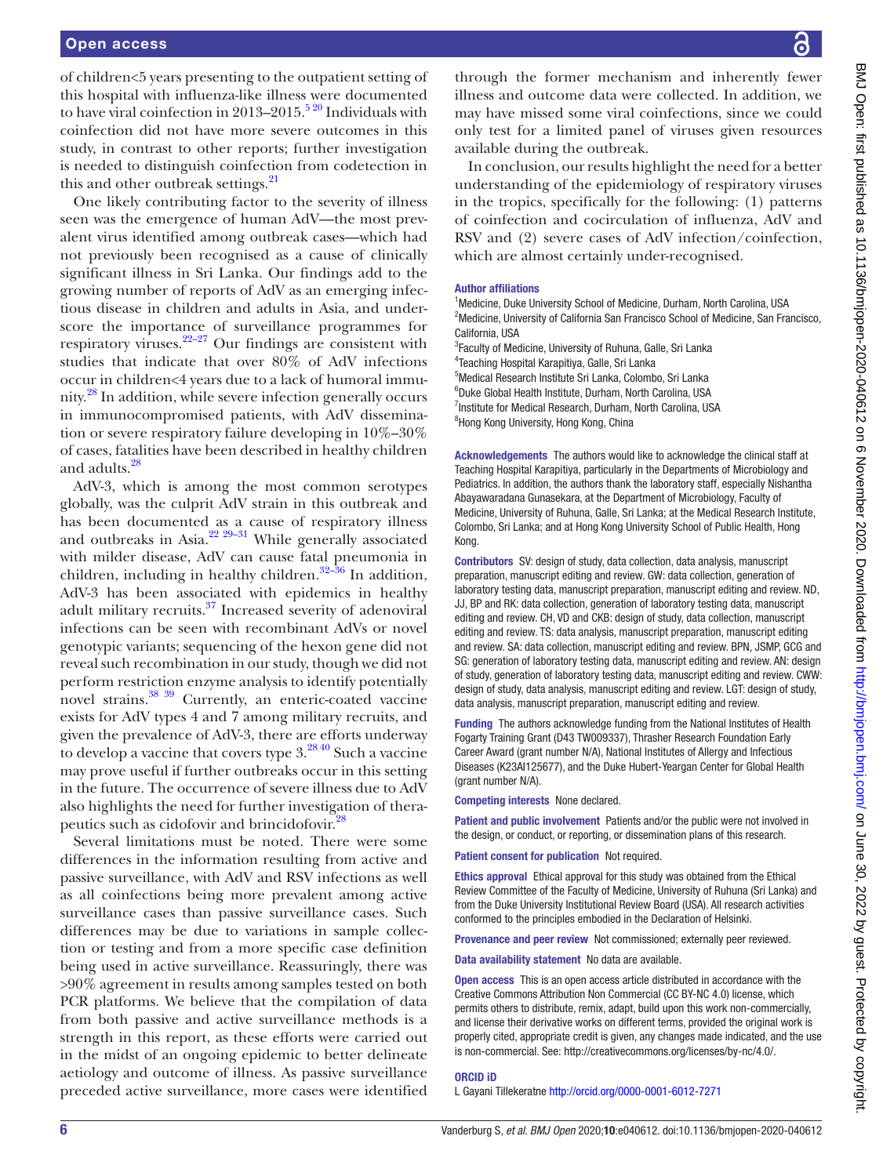of children<5 years presenting to the outpatient setting of this hospital with influenza-like illness were documented to have viral coinfection in 2013–2015.<sup>520</sup> Individuals with coinfection did not have more severe outcomes in this study, in contrast to other reports; further investigation is needed to distinguish coinfection from codetection in this and other outbreak settings.<sup>21</sup>

One likely contributing factor to the severity of illness seen was the emergence of human AdV—the most prevalent virus identified among outbreak cases—which had not previously been recognised as a cause of clinically significant illness in Sri Lanka. Our findings add to the growing number of reports of AdV as an emerging infectious disease in children and adults in Asia, and underscore the importance of surveillance programmes for respiratory viruses. $22-27$  Our findings are consistent with studies that indicate that over 80% of AdV infections occur in children<4 years due to a lack of humoral immunity.<sup>28</sup> In addition, while severe infection generally occurs in immunocompromised patients, with AdV dissemination or severe respiratory failure developing in 10%–30% of cases, fatalities have been described in healthy children and adults.<sup>28</sup>

AdV-3, which is among the most common serotypes globally, was the culprit AdV strain in this outbreak and has been documented as a cause of respiratory illness and outbreaks in Asia.<sup>22 29-31</sup> While generally associated with milder disease, AdV can cause fatal pneumonia in children, including in healthy children. $32-36$  In addition, AdV-3 has been associated with epidemics in healthy adult military recruits.<sup>37</sup> Increased severity of adenoviral infections can be seen with recombinant AdVs or novel genotypic variants; sequencing of the hexon gene did not reveal such recombination in our study, though we did not perform restriction enzyme analysis to identify potentially novel strains. $38 \frac{39}{9}$  Currently, an enteric-coated vaccine exists for AdV types 4 and 7 among military recruits, and given the prevalence of AdV-3, there are efforts underway to develop a vaccine that covers type  $3.^{28\,40}$  Such a vaccine may prove useful if further outbreaks occur in this setting in the future. The occurrence of severe illness due to AdV also highlights the need for further investigation of therapeutics such as cidofovir and brincidofovir.[28](#page-6-13)

Several limitations must be noted. There were some differences in the information resulting from active and passive surveillance, with AdV and RSV infections as well as all coinfections being more prevalent among active surveillance cases than passive surveillance cases. Such differences may be due to variations in sample collection or testing and from a more specific case definition being used in active surveillance. Reassuringly, there was >90% agreement in results among samples tested on both PCR platforms. We believe that the compilation of data from both passive and active surveillance methods is a strength in this report, as these efforts were carried out in the midst of an ongoing epidemic to better delineate aetiology and outcome of illness. As passive surveillance preceded active surveillance, more cases were identified

through the former mechanism and inherently fewer illness and outcome data were collected. In addition, we may have missed some viral coinfections, since we could only test for a limited panel of viruses given resources available during the outbreak.

In conclusion, our results highlight the need for a better understanding of the epidemiology of respiratory viruses in the tropics, specifically for the following: (1) patterns of coinfection and cocirculation of influenza, AdV and RSV and (2) severe cases of AdV infection/coinfection, which are almost certainly under-recognised.

#### Author affiliations

<sup>1</sup>Medicine, Duke University School of Medicine, Durham, North Carolina, USA <sup>2</sup> Medicine, University of California San Francisco School of Medicine, San Francisco, California, USA

<sup>3</sup> Faculty of Medicine, University of Ruhuna, Galle, Sri Lanka 4 Teaching Hospital Karapitiya, Galle, Sri Lanka 5 Medical Research Institute Sri Lanka, Colombo, Sri Lanka 6 Duke Global Health Institute, Durham, North Carolina, USA <sup>7</sup>Institute for Medical Research, Durham, North Carolina, USA

<sup>8</sup>Hong Kong University, Hong Kong, China

Acknowledgements The authors would like to acknowledge the clinical staff at Teaching Hospital Karapitiya, particularly in the Departments of Microbiology and Pediatrics. In addition, the authors thank the laboratory staff, especially Nishantha Abayawaradana Gunasekara, at the Department of Microbiology, Faculty of Medicine, University of Ruhuna, Galle, Sri Lanka; at the Medical Research Institute, Colombo, Sri Lanka; and at Hong Kong University School of Public Health, Hong Kong.

Contributors SV: design of study, data collection, data analysis, manuscript preparation, manuscript editing and review. GW: data collection, generation of laboratory testing data, manuscript preparation, manuscript editing and review. ND, JJ, BP and RK: data collection, generation of laboratory testing data, manuscript editing and review. CH, VD and CKB: design of study, data collection, manuscript editing and review. TS: data analysis, manuscript preparation, manuscript editing and review. SA: data collection, manuscript editing and review. BPN, JSMP, GCG and SG: generation of laboratory testing data, manuscript editing and review. AN: design of study, generation of laboratory testing data, manuscript editing and review. CWW: design of study, data analysis, manuscript editing and review. LGT: design of study, data analysis, manuscript preparation, manuscript editing and review.

Funding The authors acknowledge funding from the National Institutes of Health Fogarty Training Grant (D43 TW009337), Thrasher Research Foundation Early Career Award (grant number N/A), National Institutes of Allergy and Infectious Diseases (K23AI125677), and the Duke Hubert-Yeargan Center for Global Health (grant number N/A).

Competing interests None declared.

Patient and public involvement Patients and/or the public were not involved in the design, or conduct, or reporting, or dissemination plans of this research.

Patient consent for publication Not required.

Ethics approval Ethical approval for this study was obtained from the Ethical Review Committee of the Faculty of Medicine, University of Ruhuna (Sri Lanka) and from the Duke University Institutional Review Board (USA). All research activities conformed to the principles embodied in the Declaration of Helsinki.

Provenance and peer review Not commissioned; externally peer reviewed.

Data availability statement No data are available.

Open access This is an open access article distributed in accordance with the Creative Commons Attribution Non Commercial (CC BY-NC 4.0) license, which permits others to distribute, remix, adapt, build upon this work non-commercially, and license their derivative works on different terms, provided the original work is properly cited, appropriate credit is given, any changes made indicated, and the use is non-commercial. See: [http://creativecommons.org/licenses/by-nc/4.0/.](http://creativecommons.org/licenses/by-nc/4.0/)

#### ORCID iD

L Gayani Tillekeratne <http://orcid.org/0000-0001-6012-7271>